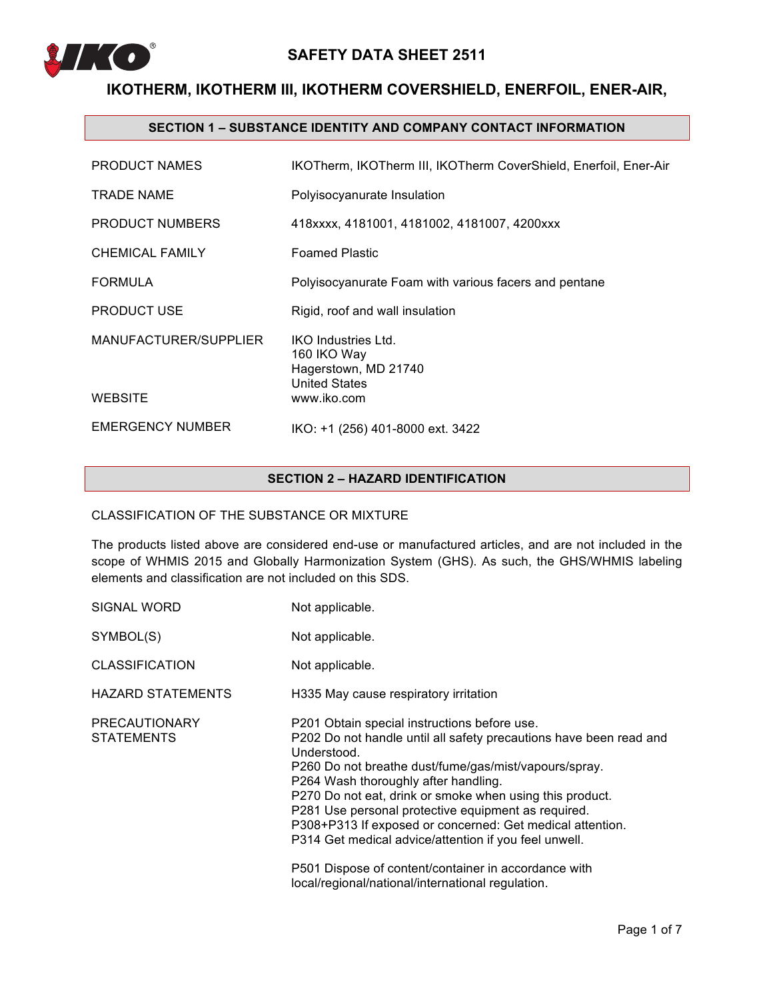

# **IKOTHERM, IKOTHERM III, IKOTHERM COVERSHIELD, ENERFOIL, ENER-AIR,**

### **SECTION 1 – SUBSTANCE IDENTITY AND COMPANY CONTACT INFORMATION**

| <b>PRODUCT NAMES</b>                    | IKOTherm, IKOTherm III, IKOTherm CoverShield, Enerfoil, Ener-Air                                         |
|-----------------------------------------|----------------------------------------------------------------------------------------------------------|
| <b>TRADE NAME</b>                       | Polyisocyanurate Insulation                                                                              |
| <b>PRODUCT NUMBERS</b>                  | 418xxxx, 4181001, 4181002, 4181007, 4200xxx                                                              |
| <b>CHEMICAL FAMILY</b>                  | <b>Foamed Plastic</b>                                                                                    |
| <b>FORMULA</b>                          | Polyisocyanurate Foam with various facers and pentane                                                    |
| <b>PRODUCT USE</b>                      | Rigid, roof and wall insulation                                                                          |
| MANUFACTURER/SUPPLIER<br><b>WEBSITE</b> | <b>IKO Industries Ltd.</b><br>160 IKO Way<br>Hagerstown, MD 21740<br><b>United States</b><br>www.iko.com |
| <b>EMERGENCY NUMBER</b>                 | IKO: +1 (256) 401-8000 ext. 3422                                                                         |

## **SECTION 2 – HAZARD IDENTIFICATION**

### CLASSIFICATION OF THE SUBSTANCE OR MIXTURE

The products listed above are considered end-use or manufactured articles, and are not included in the scope of WHMIS 2015 and Globally Harmonization System (GHS). As such, the GHS/WHMIS labeling elements and classification are not included on this SDS.

| Not applicable.                                                                                                                                                                                                                                                                                                                                                                                                                                                                                                                                                                          |
|------------------------------------------------------------------------------------------------------------------------------------------------------------------------------------------------------------------------------------------------------------------------------------------------------------------------------------------------------------------------------------------------------------------------------------------------------------------------------------------------------------------------------------------------------------------------------------------|
| Not applicable.                                                                                                                                                                                                                                                                                                                                                                                                                                                                                                                                                                          |
| Not applicable.                                                                                                                                                                                                                                                                                                                                                                                                                                                                                                                                                                          |
| H335 May cause respiratory irritation                                                                                                                                                                                                                                                                                                                                                                                                                                                                                                                                                    |
| P201 Obtain special instructions before use.<br>P202 Do not handle until all safety precautions have been read and<br>Understood.<br>P260 Do not breathe dust/fume/gas/mist/vapours/spray.<br>P264 Wash thoroughly after handling.<br>P270 Do not eat, drink or smoke when using this product.<br>P281 Use personal protective equipment as required.<br>P308+P313 If exposed or concerned: Get medical attention.<br>P314 Get medical advice/attention if you feel unwell.<br>P501 Dispose of content/container in accordance with<br>local/regional/national/international regulation. |
|                                                                                                                                                                                                                                                                                                                                                                                                                                                                                                                                                                                          |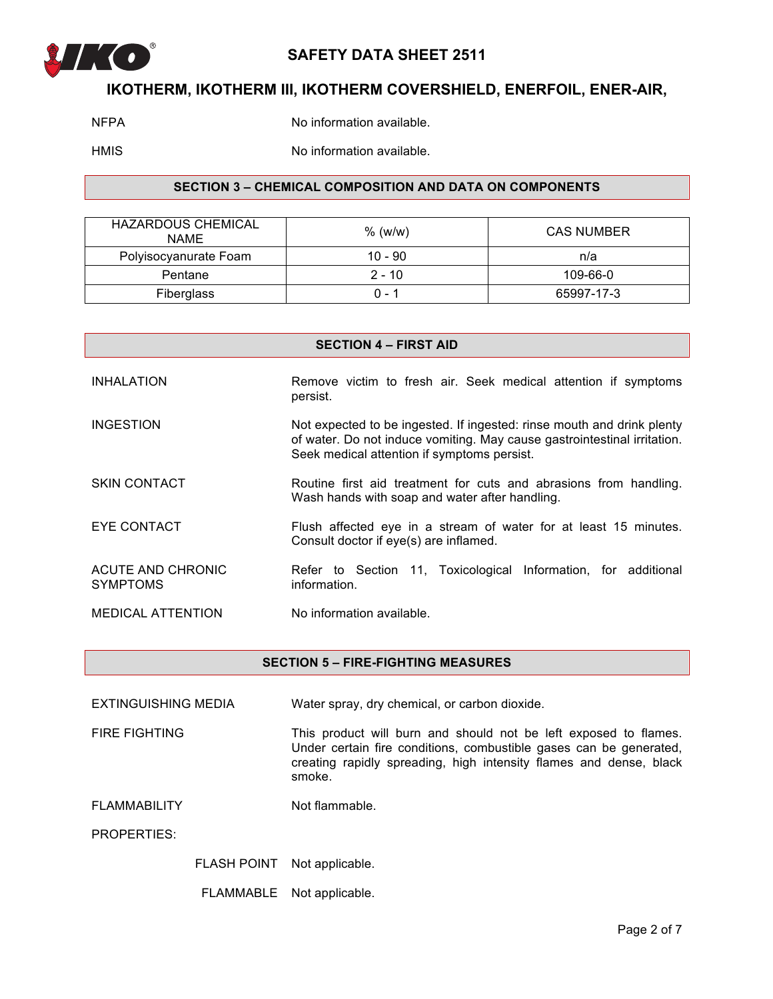

## **IKOTHERM, IKOTHERM III, IKOTHERM COVERSHIELD, ENERFOIL, ENER-AIR,**

NFPA No information available.

HMIS No information available.

## **SECTION 3 – CHEMICAL COMPOSITION AND DATA ON COMPONENTS**

| <b>HAZARDOUS CHEMICAL</b><br><b>NAME</b> | $%$ (w/w) | <b>CAS NUMBER</b> |
|------------------------------------------|-----------|-------------------|
| Polyisocyanurate Foam                    | $10 - 90$ | n/a               |
| Pentane                                  | $2 - 10$  | 109-66-0          |
| Fiberglass                               | 0 - 1     | 65997-17-3        |

| <b>SECTION 4 – FIRST AID</b>         |                                                                                                                                                                                                   |  |
|--------------------------------------|---------------------------------------------------------------------------------------------------------------------------------------------------------------------------------------------------|--|
| <b>INHALATION</b>                    | Remove victim to fresh air. Seek medical attention if symptoms<br>persist.                                                                                                                        |  |
| <b>INGESTION</b>                     | Not expected to be ingested. If ingested: rinse mouth and drink plenty<br>of water. Do not induce vomiting. May cause gastrointestinal irritation.<br>Seek medical attention if symptoms persist. |  |
| <b>SKIN CONTACT</b>                  | Routine first aid treatment for cuts and abrasions from handling.<br>Wash hands with soap and water after handling.                                                                               |  |
| EYE CONTACT                          | Flush affected eye in a stream of water for at least 15 minutes.<br>Consult doctor if eye(s) are inflamed.                                                                                        |  |
| ACUTE AND CHRONIC<br><b>SYMPTOMS</b> | Refer to Section 11, Toxicological Information, for additional<br>information.                                                                                                                    |  |
| <b>MEDICAL ATTENTION</b>             | No information available.                                                                                                                                                                         |  |

**SECTION 5 – FIRE-FIGHTING MEASURES**

EXTINGUISHING MEDIA Water spray, dry chemical, or carbon dioxide.

FIRE FIGHTING This product will burn and should not be left exposed to flames. Under certain fire conditions, combustible gases can be generated, creating rapidly spreading, high intensity flames and dense, black smoke.

FLAMMABILITY Not flammable.

PROPERTIES:

FLASH POINT Not applicable.

FLAMMABLE Not applicable.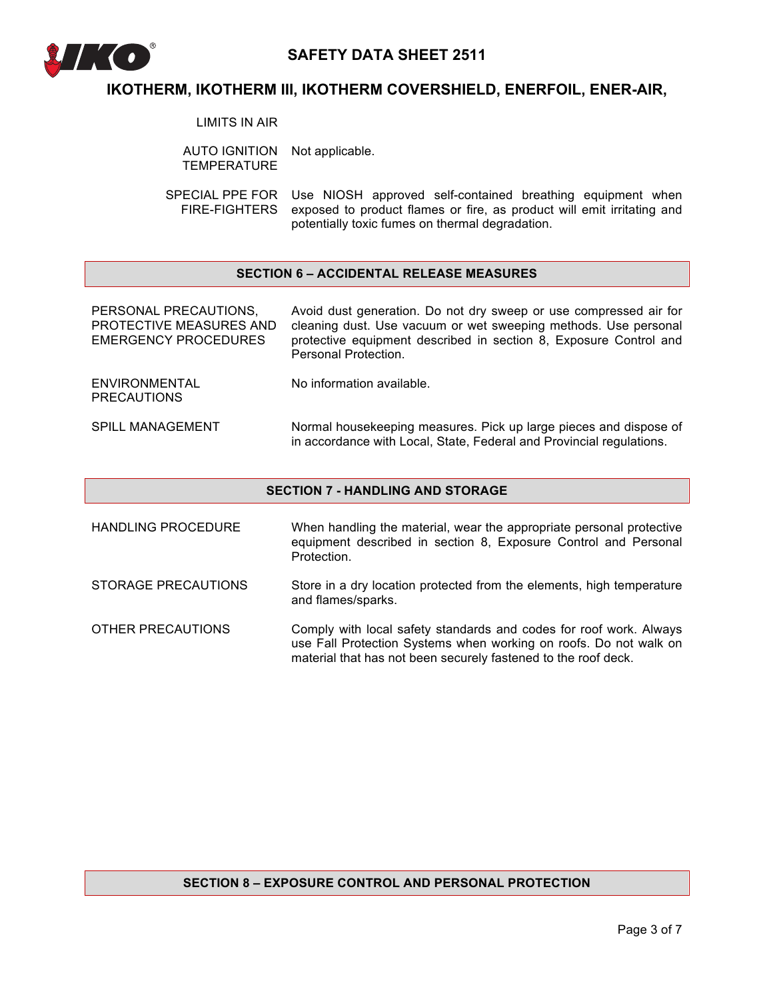

## **IKOTHERM, IKOTHERM III, IKOTHERM COVERSHIELD, ENERFOIL, ENER-AIR,**

LIMITS IN AIR

AUTO IGNITION Not applicable. **TEMPERATURE** 

SPECIAL PPE FOR Use NIOSH approved self-contained breathing equipment when FIRE-FIGHTERS exposed to product flames or fire, as product will emit irritating and potentially toxic fumes on thermal degradation.

### **SECTION 6 – ACCIDENTAL RELEASE MEASURES**

| PERSONAL PRECAUTIONS,<br>PROTECTIVE MEASURES AND<br>EMERGENCY PROCEDURES | Avoid dust generation. Do not dry sweep or use compressed air for<br>cleaning dust. Use vacuum or wet sweeping methods. Use personal<br>protective equipment described in section 8, Exposure Control and<br>Personal Protection. |
|--------------------------------------------------------------------------|-----------------------------------------------------------------------------------------------------------------------------------------------------------------------------------------------------------------------------------|
| ENVIRONMENTAL<br><b>PRECAUTIONS</b>                                      | No information available.                                                                                                                                                                                                         |
| <b>SPILL MANAGEMENT</b>                                                  | Normal housekeeping measures. Pick up large pieces and dispose of<br>in accordance with Local, State, Federal and Provincial regulations.                                                                                         |

#### **SECTION 7 - HANDLING AND STORAGE**

HANDLING PROCEDURE When handling the material, wear the appropriate personal protective equipment described in section 8, Exposure Control and Personal Protection. STORAGE PRECAUTIONS Store in a dry location protected from the elements, high temperature and flames/sparks.

OTHER PRECAUTIONS Comply with local safety standards and codes for roof work. Always use Fall Protection Systems when working on roofs. Do not walk on material that has not been securely fastened to the roof deck.

### **SECTION 8 – EXPOSURE CONTROL AND PERSONAL PROTECTION**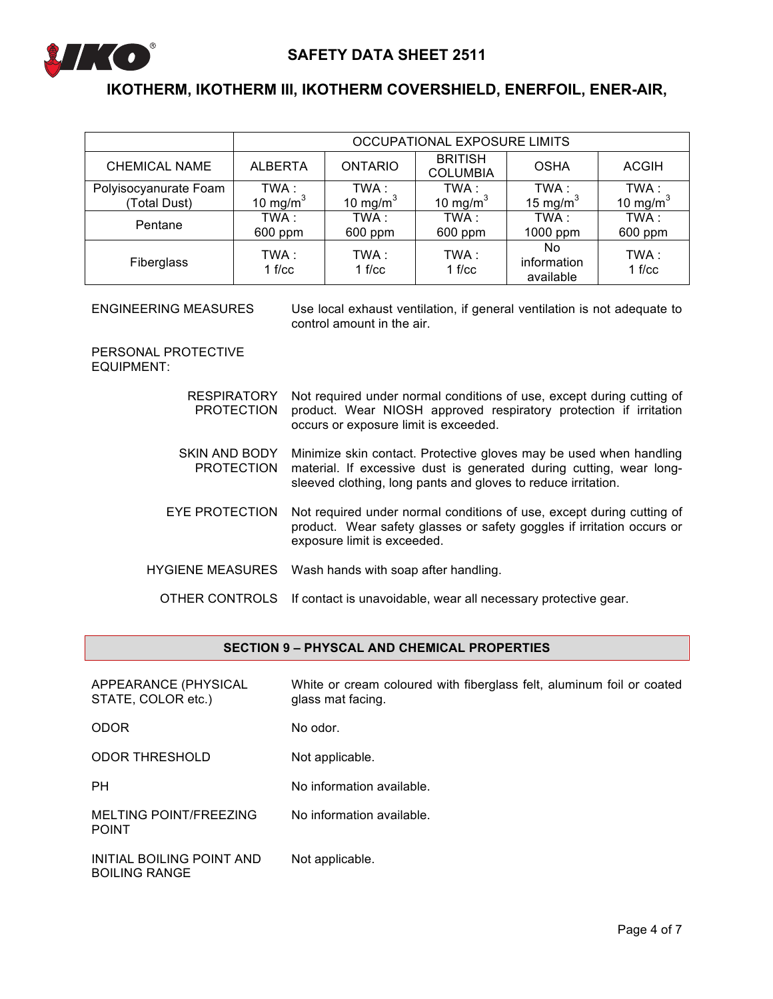

# **IKOTHERM, IKOTHERM III, IKOTHERM COVERSHIELD, ENERFOIL, ENER-AIR,**

|                       |                 |                 | OCCUPATIONAL EXPOSURE LIMITS      |                                 |                  |
|-----------------------|-----------------|-----------------|-----------------------------------|---------------------------------|------------------|
| <b>CHEMICAL NAME</b>  | <b>ALBERTA</b>  | <b>ONTARIO</b>  | <b>BRITISH</b><br><b>COLUMBIA</b> | <b>OSHA</b>                     | <b>ACGIH</b>     |
| Polyisocyanurate Foam | TWA:            | TWA :           | TWA :                             | TWA :                           | TWA :            |
| (Total Dust)          | 10 mg/m $3$     | 10 mg/m $3$     | 10 mg/m $3$                       | 15 mg/m $3$                     | 10 mg/m $3$      |
| Pentane               | TWA:<br>600 ppm | TWA:<br>600 ppm | TWA:<br>600 ppm                   | TWA:<br>1000 ppm                | TWA :<br>600 ppm |
| Fiberglass            | TWA :<br>1 f/cc | TWA :<br>1 f/cc | TWA:<br>1 f/cc                    | No.<br>information<br>available | TWA:<br>1 f/cc   |

ENGINEERING MEASURES Use local exhaust ventilation, if general ventilation is not adequate to control amount in the air.

PERSONAL PROTECTIVE EQUIPMENT:

| <b>RESPIRATORY</b><br><b>PROTECTION</b> | Not required under normal conditions of use, except during cutting of<br>product. Wear NIOSH approved respiratory protection if irritation<br>occurs or exposure limit is exceeded.                        |
|-----------------------------------------|------------------------------------------------------------------------------------------------------------------------------------------------------------------------------------------------------------|
| SKIN AND BODY<br><b>PROTECTION</b>      | Minimize skin contact. Protective gloves may be used when handling<br>material. If excessive dust is generated during cutting, wear long-<br>sleeved clothing, long pants and gloves to reduce irritation. |
| EYE PROTECTION                          | Not required under normal conditions of use, except during cutting of<br>product. Wear safety glasses or safety goggles if irritation occurs or<br>exposure limit is exceeded.                             |
|                                         | HYGIENE MEASURES Wash hands with soap after handling.                                                                                                                                                      |
|                                         | OTHER CONTROLS If contact is unavoidable, wear all necessary protective gear.                                                                                                                              |

## **SECTION 9 – PHYSCAL AND CHEMICAL PROPERTIES**

| APPEARANCE (PHYSICAL<br>STATE, COLOR etc.)        | White or cream coloured with fiberglass felt, aluminum foil or coated<br>glass mat facing. |
|---------------------------------------------------|--------------------------------------------------------------------------------------------|
| <b>ODOR</b>                                       | No odor.                                                                                   |
| <b>ODOR THRESHOLD</b>                             | Not applicable.                                                                            |
| <b>PH</b>                                         | No information available.                                                                  |
| MELTING POINT/FREEZING<br><b>POINT</b>            | No information available.                                                                  |
| INITIAL BOILING POINT AND<br><b>BOILING RANGE</b> | Not applicable.                                                                            |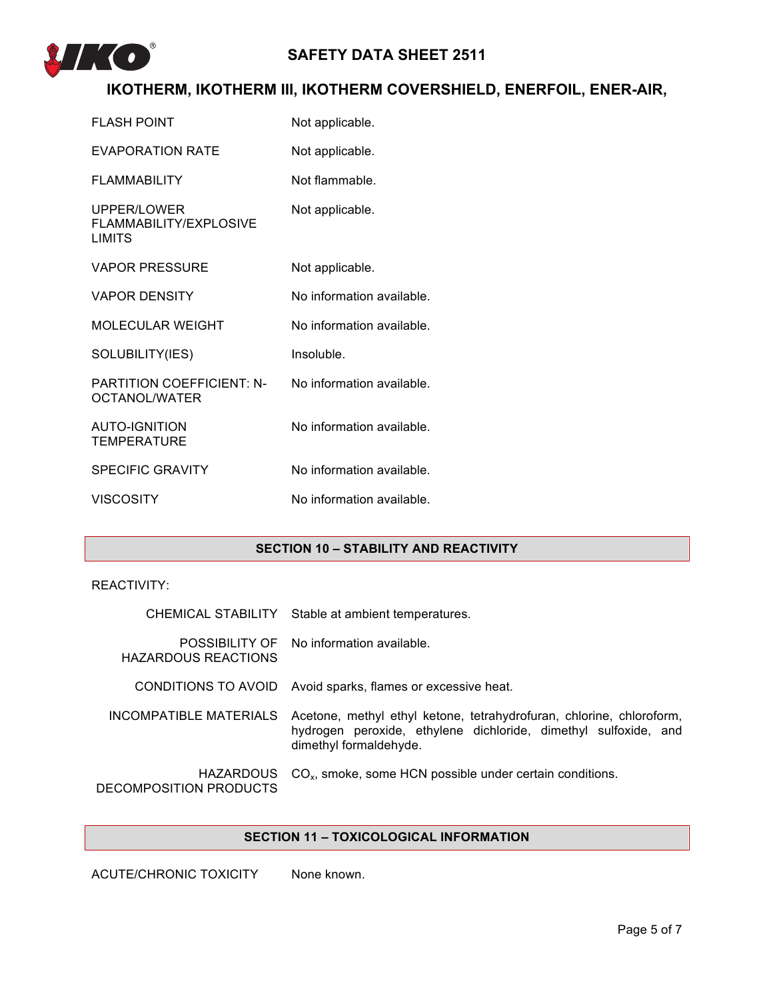

# **IKOTHERM, IKOTHERM III, IKOTHERM COVERSHIELD, ENERFOIL, ENER-AIR,**

| <b>FLASH POINT</b>                                     | Not applicable.           |
|--------------------------------------------------------|---------------------------|
| <b>EVAPORATION RATE</b>                                | Not applicable.           |
| <b>FLAMMABILITY</b>                                    | Not flammable.            |
| UPPER/LOWER<br>FLAMMABILITY/EXPLOSIVE<br><b>LIMITS</b> | Not applicable.           |
| <b>VAPOR PRESSURE</b>                                  | Not applicable.           |
| <b>VAPOR DENSITY</b>                                   | No information available. |
| <b>MOLECULAR WEIGHT</b>                                | No information available. |
| SOLUBILITY(IES)                                        | Insoluble.                |
| <b>PARTITION COEFFICIENT: N-</b><br>OCTANOL/WATER      | No information available. |
| <b>AUTO-IGNITION</b><br><b>TEMPERATURE</b>             | No information available. |
| <b>SPECIFIC GRAVITY</b>                                | No information available. |
| <b>VISCOSITY</b>                                       | No information available. |

## **SECTION 10 – STABILITY AND REACTIVITY**

## REACTIVITY:

|                                            | CHEMICAL STABILITY Stable at ambient temperatures.                                                                                                                |
|--------------------------------------------|-------------------------------------------------------------------------------------------------------------------------------------------------------------------|
| <b>HAZARDOUS REACTIONS</b>                 | POSSIBILITY OF No information available.                                                                                                                          |
|                                            | CONDITIONS TO AVOID Avoid sparks, flames or excessive heat.                                                                                                       |
| INCOMPATIBLE MATERIALS                     | Acetone, methyl ethyl ketone, tetrahydrofuran, chlorine, chloroform,<br>hydrogen peroxide, ethylene dichloride, dimethyl sulfoxide, and<br>dimethyl formaldehyde. |
| <b>HAZARDOUS</b><br>DECOMPOSITION PRODUCTS | $COx$ , smoke, some HCN possible under certain conditions.                                                                                                        |

### **SECTION 11 – TOXICOLOGICAL INFORMATION**

ACUTE/CHRONIC TOXICITY None known.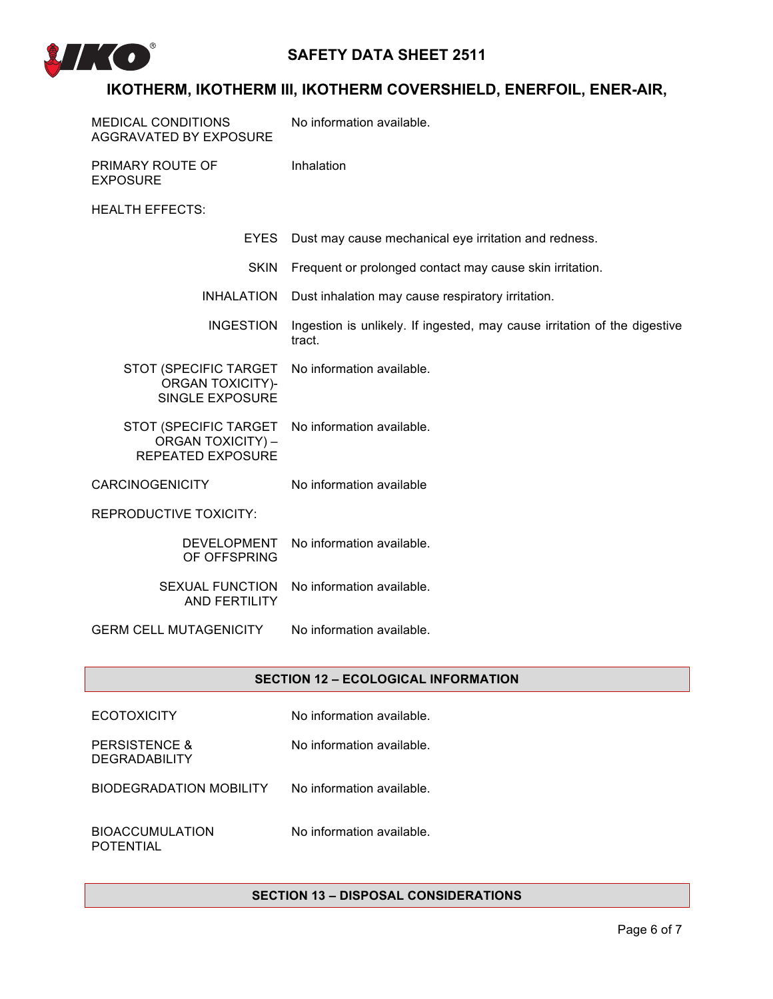

# **IKOTHERM, IKOTHERM III, IKOTHERM COVERSHIELD, ENERFOIL, ENER-AIR,**

| <b>MEDICAL CONDITIONS</b><br><b>AGGRAVATED BY EXPOSURE</b>                    | No information available.                                                           |
|-------------------------------------------------------------------------------|-------------------------------------------------------------------------------------|
| PRIMARY ROUTE OF<br><b>EXPOSURE</b>                                           | Inhalation                                                                          |
| <b>HEALTH EFFECTS:</b>                                                        |                                                                                     |
| <b>EYES</b>                                                                   | Dust may cause mechanical eye irritation and redness.                               |
| <b>SKIN</b>                                                                   | Frequent or prolonged contact may cause skin irritation.                            |
| <b>INHALATION</b>                                                             | Dust inhalation may cause respiratory irritation.                                   |
| <b>INGESTION</b>                                                              | Ingestion is unlikely. If ingested, may cause irritation of the digestive<br>tract. |
| STOT (SPECIFIC TARGET<br><b>ORGAN TOXICITY)-</b><br><b>SINGLE EXPOSURE</b>    | No information available.                                                           |
| STOT (SPECIFIC TARGET<br><b>ORGAN TOXICITY) -</b><br><b>REPEATED EXPOSURE</b> | No information available.                                                           |
| <b>CARCINOGENICITY</b>                                                        | No information available                                                            |
| <b>REPRODUCTIVE TOXICITY:</b>                                                 |                                                                                     |
| <b>DEVELOPMENT</b><br>OF OFFSPRING                                            | No information available.                                                           |
| <b>SEXUAL FUNCTION</b><br><b>AND FERTILITY</b>                                | No information available.                                                           |
| <b>GERM CELL MUTAGENICITY</b>                                                 | No information available.                                                           |

### **SECTION 12 – ECOLOGICAL INFORMATION**

- ECOTOXICITY No information available.
- PERSISTENCE & **DEGRADABILITY** No information available.
- BIODEGRADATION MOBILITY No information available.

BIOACCUMULATION POTENTIAL

No information available.

## **SECTION 13 – DISPOSAL CONSIDERATIONS**